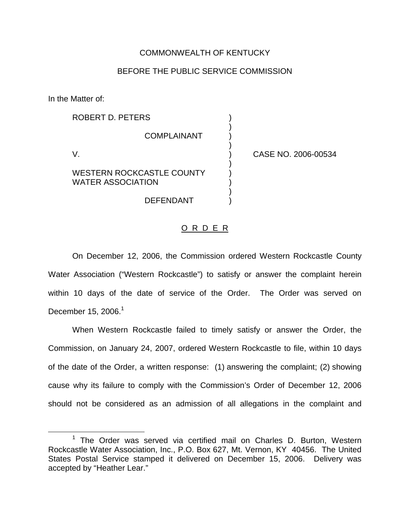## COMMONWEALTH OF KENTUCKY

## BEFORE THE PUBLIC SERVICE COMMISSION

In the Matter of:

| ROBERT D. PETERS                                      |                    |            |
|-------------------------------------------------------|--------------------|------------|
|                                                       | <b>COMPLAINANT</b> |            |
|                                                       |                    | CASE NO. 2 |
| WESTERN ROCKCASTLE COUNTY<br><b>WATER ASSOCIATION</b> |                    |            |

DEFENDANT )

006-00534

## O R D E R

On December 12, 2006, the Commission ordered Western Rockcastle County Water Association ("Western Rockcastle") to satisfy or answer the complaint herein within 10 days of the date of service of the Order. The Order was served on December 15, 2006. $<sup>1</sup>$ </sup>

When Western Rockcastle failed to timely satisfy or answer the Order, the Commission, on January 24, 2007, ordered Western Rockcastle to file, within 10 days of the date of the Order, a written response: (1) answering the complaint; (2) showing cause why its failure to comply with the Commission's Order of December 12, 2006 should not be considered as an admission of all allegations in the complaint and

 $1$  The Order was served via certified mail on Charles D. Burton, Western Rockcastle Water Association, Inc., P.O. Box 627, Mt. Vernon, KY 40456. The United States Postal Service stamped it delivered on December 15, 2006. Delivery was accepted by "Heather Lear."